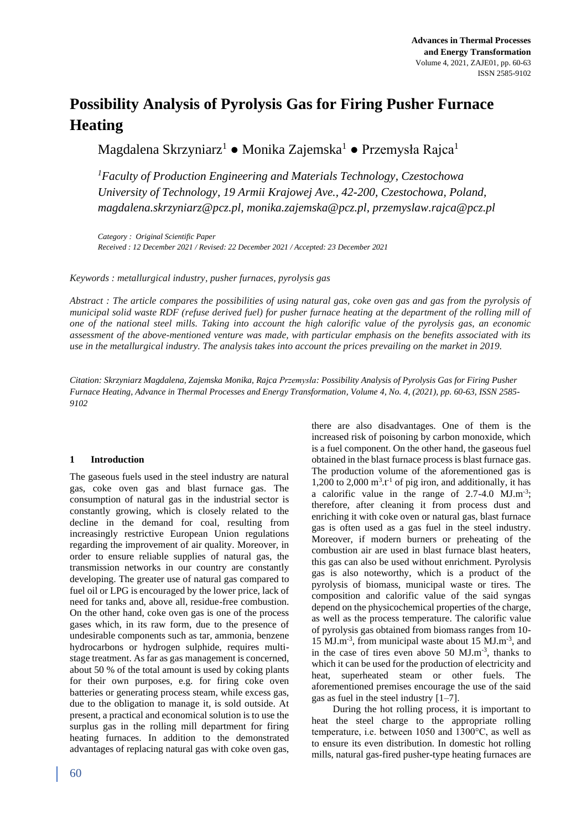# **Possibility Analysis of Pyrolysis Gas for Firing Pusher Furnace Heating**

Magdalena Skrzyniarz<sup>1</sup> ● Monika Zajemska<sup>1</sup> ● Przemysła Rajca<sup>1</sup>

*<sup>1</sup>Faculty of Production Engineering and Materials Technology, Czestochowa University of Technology, 19 Armii Krajowej Ave., 42-200, Czestochowa, Poland, magdalena.skrzyniarz@pcz.pl, monika.zajemska@pcz.pl, przemyslaw.rajca@pcz.pl*

*Category : Original Scientific Paper Received : 12 December 2021 / Revised: 22 December 2021 / Accepted: 23 December 2021*

*Keywords : metallurgical industry, pusher furnaces, pyrolysis gas*

*Abstract : The article compares the possibilities of using natural gas, coke oven gas and gas from the pyrolysis of municipal solid waste RDF (refuse derived fuel) for pusher furnace heating at the department of the rolling mill of one of the national steel mills. Taking into account the high calorific value of the pyrolysis gas, an economic assessment of the above-mentioned venture was made, with particular emphasis on the benefits associated with its use in the metallurgical industry. The analysis takes into account the prices prevailing on the market in 2019.*

*Citation: Skrzyniarz Magdalena, Zajemska Monika, Rajca Przemysła: Possibility Analysis of Pyrolysis Gas for Firing Pusher Furnace Heating, Advance in Thermal Processes and Energy Transformation, Volume 4, No. 4, (2021), pp. 60-63, ISSN 2585- 9102*

## **1 Introduction**

The gaseous fuels used in the steel industry are natural gas, coke oven gas and blast furnace gas. The consumption of natural gas in the industrial sector is constantly growing, which is closely related to the decline in the demand for coal, resulting from increasingly restrictive European Union regulations regarding the improvement of air quality. Moreover, in order to ensure reliable supplies of natural gas, the transmission networks in our country are constantly developing. The greater use of natural gas compared to fuel oil or LPG is encouraged by the lower price, lack of need for tanks and, above all, residue-free combustion. On the other hand, coke oven gas is one of the process gases which, in its raw form, due to the presence of undesirable components such as tar, ammonia, benzene hydrocarbons or hydrogen sulphide, requires multistage treatment. As far as gas management is concerned, about 50 % of the total amount is used by coking plants for their own purposes, e.g. for firing coke oven batteries or generating process steam, while excess gas, due to the obligation to manage it, is sold outside. At present, a practical and economical solution is to use the surplus gas in the rolling mill department for firing heating furnaces. In addition to the demonstrated advantages of replacing natural gas with coke oven gas,

there are also disadvantages. One of them is the increased risk of poisoning by carbon monoxide, which is a fuel component. On the other hand, the gaseous fuel obtained in the blast furnace process is blast furnace gas. The production volume of the aforementioned gas is 1,200 to 2,000  $m^3.t^{-1}$  of pig iron, and additionally, it has a calorific value in the range of  $2.7-4.0$  MJ.m<sup>-3</sup>; therefore, after cleaning it from process dust and enriching it with coke oven or natural gas, blast furnace gas is often used as a gas fuel in the steel industry. Moreover, if modern burners or preheating of the combustion air are used in blast furnace blast heaters, this gas can also be used without enrichment. Pyrolysis gas is also noteworthy, which is a product of the pyrolysis of biomass, municipal waste or tires. The composition and calorific value of the said syngas depend on the physicochemical properties of the charge, as well as the process temperature. The calorific value of pyrolysis gas obtained from biomass ranges from 10- 15 MJ.m-3 , from municipal waste about 15 MJ.m-3 , and in the case of tires even above  $50 \text{ MJ.m}^{-3}$ , thanks to which it can be used for the production of electricity and heat, superheated steam or other fuels. The aforementioned premises encourage the use of the said gas as fuel in the steel industry [1–7].

During the hot rolling process, it is important to heat the steel charge to the appropriate rolling temperature, i.e. between 1050 and 1300°C, as well as to ensure its even distribution. In domestic hot rolling mills, natural gas-fired pusher-type heating furnaces are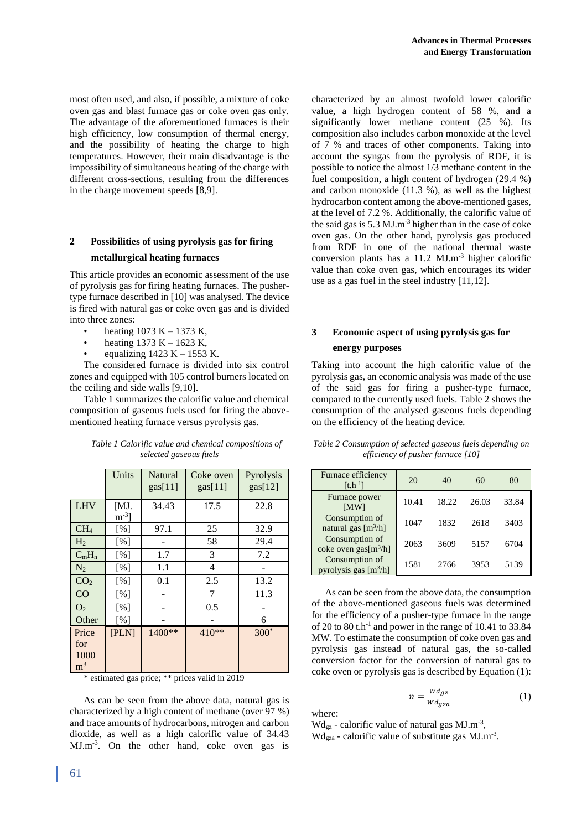most often used, and also, if possible, a mixture of coke oven gas and blast furnace gas or coke oven gas only. The advantage of the aforementioned furnaces is their high efficiency, low consumption of thermal energy, and the possibility of heating the charge to high temperatures. However, their main disadvantage is the impossibility of simultaneous heating of the charge with different cross-sections, resulting from the differences in the charge movement speeds [8,9].

## **2 Possibilities of using pyrolysis gas for firing metallurgical heating furnaces**

This article provides an economic assessment of the use of pyrolysis gas for firing heating furnaces. The pushertype furnace described in [10] was analysed. The device is fired with natural gas or coke oven gas and is divided into three zones:

- heating 1073 K 1373 K,
- heating  $1373 K 1623 K$ ,
- equalizing  $1423 K 1553 K$ .

The considered furnace is divided into six control zones and equipped with 105 control burners located on the ceiling and side walls [9,10].

Table 1 summarizes the calorific value and chemical composition of gaseous fuels used for firing the abovementioned heating furnace versus pyrolysis gas.

|                 | Units                                | Natural<br>gas[11] | Coke oven<br>gas[11] | Pyrolysis<br>gas[12] |
|-----------------|--------------------------------------|--------------------|----------------------|----------------------|
| <b>LHV</b>      | [MJ.<br>$\mathrm{m}$ <sup>-3</sup> ] | 34.43              | 17.5                 | 22.8                 |
| CH <sub>4</sub> | [%]                                  | 97.1               | 25                   | 32.9                 |
| H <sub>2</sub>  | [%]                                  |                    | 58                   | 29.4                 |
| $C_mH_n$        | [%]                                  | 1.7                | 3                    | 7.2                  |
| N <sub>2</sub>  | [%]                                  | 1.1                | 4                    |                      |
| CO <sub>2</sub> | [%]                                  | 0.1                | 2.5                  | 13.2                 |
| CO              | [%]                                  |                    | 7                    | 11.3                 |
| O <sub>2</sub>  | [%]                                  |                    | 0.5                  |                      |
| Other           | [%]                                  |                    |                      | 6                    |
| Price           | [PLN]                                | 1400**             | 410**                | $300*$               |
| for             |                                      |                    |                      |                      |
| 1000            |                                      |                    |                      |                      |
| m <sup>3</sup>  |                                      |                    |                      |                      |

|  |                        | Table 1 Calorific value and chemical compositions of |
|--|------------------------|------------------------------------------------------|
|  | selected gaseous fuels |                                                      |

\* estimated gas price; \*\* prices valid in 2019

As can be seen from the above data, natural gas is characterized by a high content of methane (over 97 %) and trace amounts of hydrocarbons, nitrogen and carbon dioxide, as well as a high calorific value of 34.43 MJ.m-3 . On the other hand, coke oven gas is characterized by an almost twofold lower calorific value, a high hydrogen content of 58 %, and a significantly lower methane content (25 %). Its composition also includes carbon monoxide at the level of 7 % and traces of other components. Taking into account the syngas from the pyrolysis of RDF, it is possible to notice the almost 1/3 methane content in the fuel composition, a high content of hydrogen (29.4 %) and carbon monoxide (11.3 %), as well as the highest hydrocarbon content among the above-mentioned gases, at the level of 7.2 %. Additionally, the calorific value of the said gas is  $5.3$  MJ.m<sup>-3</sup> higher than in the case of coke oven gas. On the other hand, pyrolysis gas produced from RDF in one of the national thermal waste conversion plants has a 11.2 MJ.m-3 higher calorific value than coke oven gas, which encourages its wider use as a gas fuel in the steel industry [11,12].

## **3 Economic aspect of using pyrolysis gas for energy purposes**

Taking into account the high calorific value of the pyrolysis gas, an economic analysis was made of the use of the said gas for firing a pusher-type furnace, compared to the currently used fuels. Table 2 shows the consumption of the analysed gaseous fuels depending on the efficiency of the heating device.

| Furnace efficiency<br>$[t.h^{-1}]$        | 20    | 40    | 60    | 80    |
|-------------------------------------------|-------|-------|-------|-------|
| Furnace power<br>[MW]                     | 10.41 | 18.22 | 26.03 | 33.84 |
| Consumption of<br>natural gas $[m^3/h]$   | 1047  | 1832  | 2618  | 3403  |
| Consumption of<br>coke oven gas $[m^3/h]$ | 2063  | 3609  | 5157  | 6704  |
| Consumption of<br>pyrolysis gas $[m^3/h]$ | 1581  | 2766  | 3953  | 5139  |

*Table 2 Consumption of selected gaseous fuels depending on efficiency of pusher furnace [10]*

As can be seen from the above data, the consumption of the above-mentioned gaseous fuels was determined for the efficiency of a pusher-type furnace in the range of 20 to 80 t.h -1 and power in the range of 10.41 to 33.84 MW. To estimate the consumption of coke oven gas and pyrolysis gas instead of natural gas, the so-called conversion factor for the conversion of natural gas to coke oven or pyrolysis gas is described by Equation (1):

$$
n = \frac{Wd_{gz}}{Wd_{gza}}\tag{1}
$$

where:

 $Wd_{gz}$  - calorific value of natural gas MJ.m<sup>-3</sup>,  $Wd_{\text{gza}}$  - calorific value of substitute gas  $MJ.m^{-3}$ .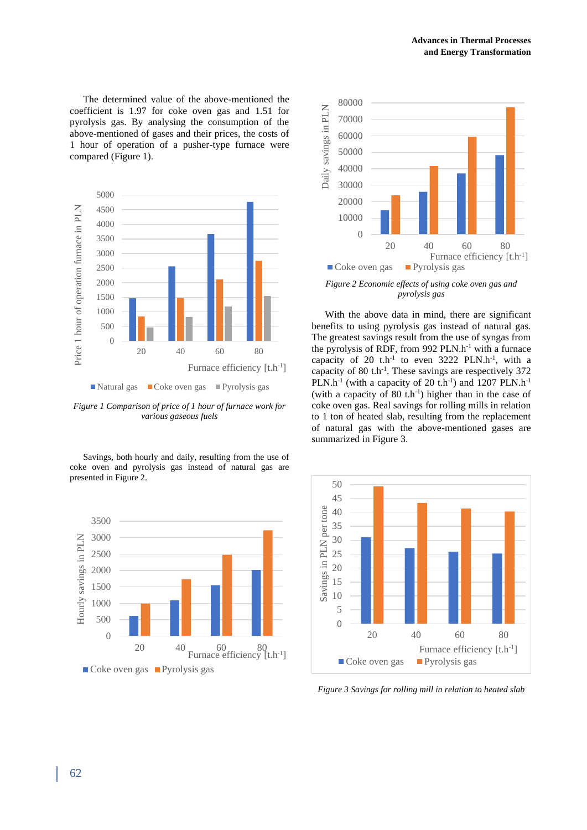The determined value of the above-mentioned the coefficient is 1.97 for coke oven gas and 1.51 for pyrolysis gas. By analysing the consumption of the above-mentioned of gases and their prices, the costs of 1 hour of operation of a pusher-type furnace were compared (Figure 1).



*Figure 1 Comparison of price of 1 hour of furnace work for various gaseous fuels*

Savings, both hourly and daily, resulting from the use of coke oven and pyrolysis gas instead of natural gas are presented in Figure 2.





*Figure 2 Economic effects of using coke oven gas and pyrolysis gas*

With the above data in mind, there are significant benefits to using pyrolysis gas instead of natural gas. The greatest savings result from the use of syngas from the pyrolysis of RDF, from 992  $PLN.h^{-1}$  with a furnace capacity of 20  $t.h^{-1}$  to even 3222 PLN.h<sup>-1</sup>, with a capacity of 80  $\text{th}^{-1}$ . These savings are respectively 372 PLN.h<sup>-1</sup> (with a capacity of 20 t.h<sup>-1</sup>) and 1207 PLN.h<sup>-1</sup> (with a capacity of  $80$  t.h<sup>-1</sup>) higher than in the case of coke oven gas. Real savings for rolling mills in relation to 1 ton of heated slab, resulting from the replacement of natural gas with the above-mentioned gases are summarized in Figure 3.



*Figure 3 Savings for rolling mill in relation to heated slab*